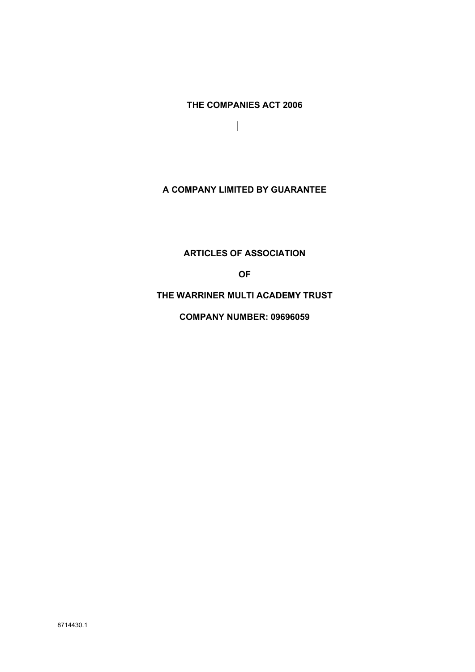THE COMPANIES ACT 2006

 $\overline{\phantom{a}}$ 

A COMPANY LIMITED BY GUARANTEE

ARTICLES OF ASSOCIATION

OF

THE WARRINER MULTI ACADEMY TRUST

COMPANY NUMBER: 09696059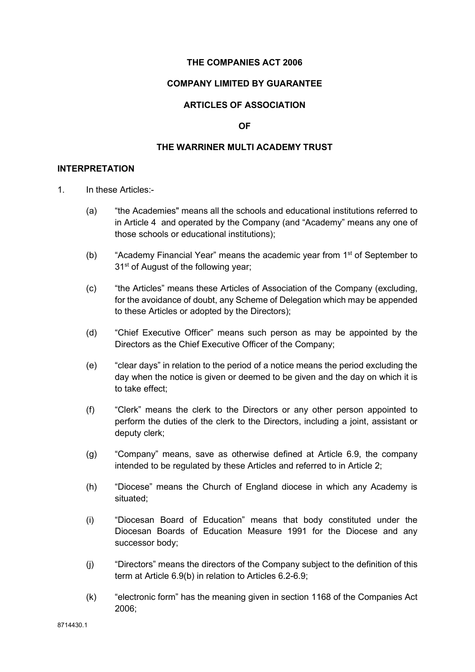#### THE COMPANIES ACT 2006

#### COMPANY LIMITED BY GUARANTEE

# ARTICLES OF ASSOCIATION

#### OF

## THE WARRINER MULTI ACADEMY TRUST

#### INTERPRETATION

- 1. In these Articles:-
	- (a) "the Academies" means all the schools and educational institutions referred to in Article 4 and operated by the Company (and "Academy" means any one of those schools or educational institutions);
	- (b) "Academy Financial Year" means the academic year from  $1<sup>st</sup>$  of September to 31<sup>st</sup> of August of the following year;
	- (c) "the Articles" means these Articles of Association of the Company (excluding, for the avoidance of doubt, any Scheme of Delegation which may be appended to these Articles or adopted by the Directors);
	- (d) "Chief Executive Officer" means such person as may be appointed by the Directors as the Chief Executive Officer of the Company;
	- (e) "clear days" in relation to the period of a notice means the period excluding the day when the notice is given or deemed to be given and the day on which it is to take effect;
	- (f) "Clerk" means the clerk to the Directors or any other person appointed to perform the duties of the clerk to the Directors, including a joint, assistant or deputy clerk;
	- (g) "Company" means, save as otherwise defined at Article 6.9, the company intended to be regulated by these Articles and referred to in Article 2;
	- (h) "Diocese" means the Church of England diocese in which any Academy is situated;
	- (i) "Diocesan Board of Education" means that body constituted under the Diocesan Boards of Education Measure 1991 for the Diocese and any successor body;
	- (j) "Directors" means the directors of the Company subject to the definition of this term at Article 6.9(b) in relation to Articles 6.2-6.9;
	- (k) "electronic form" has the meaning given in section 1168 of the Companies Act 2006;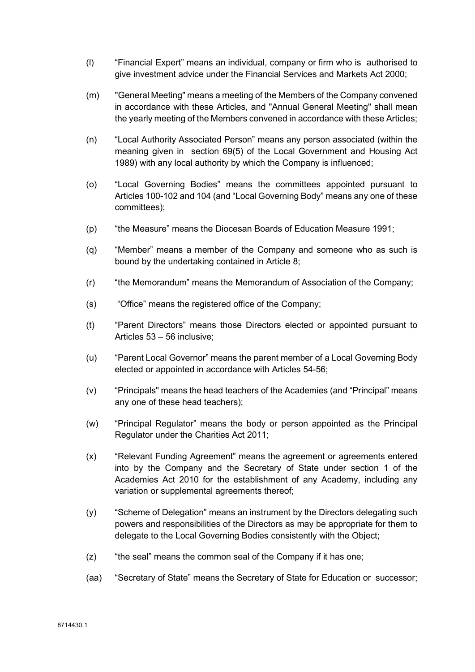- (l) "Financial Expert" means an individual, company or firm who is authorised to give investment advice under the Financial Services and Markets Act 2000;
- (m) "General Meeting" means a meeting of the Members of the Company convened in accordance with these Articles, and "Annual General Meeting" shall mean the yearly meeting of the Members convened in accordance with these Articles;
- (n) "Local Authority Associated Person" means any person associated (within the meaning given in section 69(5) of the Local Government and Housing Act 1989) with any local authority by which the Company is influenced;
- (o) "Local Governing Bodies" means the committees appointed pursuant to Articles 100-102 and 104 (and "Local Governing Body" means any one of these committees);
- (p) "the Measure" means the Diocesan Boards of Education Measure 1991;
- (q) "Member" means a member of the Company and someone who as such is bound by the undertaking contained in Article 8;
- (r) "the Memorandum" means the Memorandum of Association of the Company;
- (s) "Office" means the registered office of the Company;
- (t) "Parent Directors" means those Directors elected or appointed pursuant to Articles 53 – 56 inclusive;
- (u) "Parent Local Governor" means the parent member of a Local Governing Body elected or appointed in accordance with Articles 54-56;
- (v) "Principals" means the head teachers of the Academies (and "Principal" means any one of these head teachers);
- (w) "Principal Regulator" means the body or person appointed as the Principal Regulator under the Charities Act 2011;
- (x) "Relevant Funding Agreement" means the agreement or agreements entered into by the Company and the Secretary of State under section 1 of the Academies Act 2010 for the establishment of any Academy, including any variation or supplemental agreements thereof;
- (y) "Scheme of Delegation" means an instrument by the Directors delegating such powers and responsibilities of the Directors as may be appropriate for them to delegate to the Local Governing Bodies consistently with the Object;
- (z) "the seal" means the common seal of the Company if it has one;
- (aa) "Secretary of State" means the Secretary of State for Education or successor;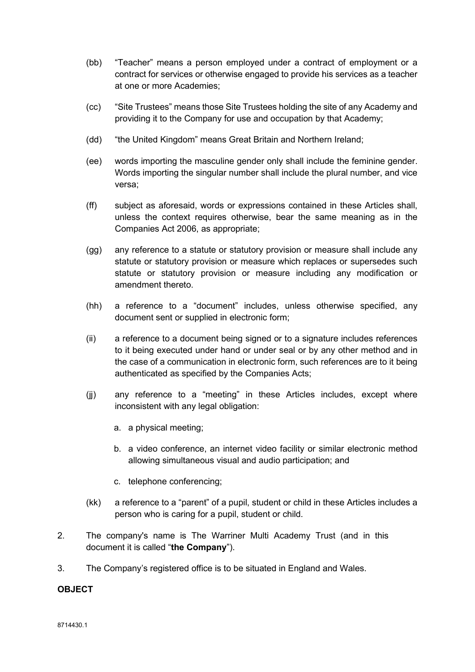- (bb) "Teacher" means a person employed under a contract of employment or a contract for services or otherwise engaged to provide his services as a teacher at one or more Academies;
- (cc) "Site Trustees" means those Site Trustees holding the site of any Academy and providing it to the Company for use and occupation by that Academy;
- (dd) "the United Kingdom" means Great Britain and Northern Ireland;
- (ee) words importing the masculine gender only shall include the feminine gender. Words importing the singular number shall include the plural number, and vice versa;
- (ff) subject as aforesaid, words or expressions contained in these Articles shall, unless the context requires otherwise, bear the same meaning as in the Companies Act 2006, as appropriate;
- (gg) any reference to a statute or statutory provision or measure shall include any statute or statutory provision or measure which replaces or supersedes such statute or statutory provision or measure including any modification or amendment thereto.
- (hh) a reference to a "document" includes, unless otherwise specified, any document sent or supplied in electronic form;
- (ii) a reference to a document being signed or to a signature includes references to it being executed under hand or under seal or by any other method and in the case of a communication in electronic form, such references are to it being authenticated as specified by the Companies Acts;
- (jj) any reference to a "meeting" in these Articles includes, except where inconsistent with any legal obligation:
	- a. a physical meeting;
	- b. a video conference, an internet video facility or similar electronic method allowing simultaneous visual and audio participation; and
	- c. telephone conferencing;
- (kk) a reference to a "parent" of a pupil, student or child in these Articles includes a person who is caring for a pupil, student or child.
- 2. The company's name is The Warriner Multi Academy Trust (and in this document it is called "the Company").
- 3. The Company's registered office is to be situated in England and Wales.

#### **OBJECT**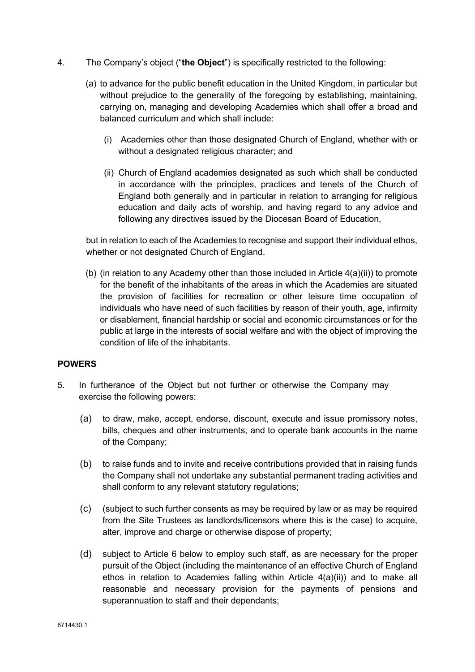- 4. The Company's object ("the Object") is specifically restricted to the following:
	- (a) to advance for the public benefit education in the United Kingdom, in particular but without prejudice to the generality of the foregoing by establishing, maintaining, carrying on, managing and developing Academies which shall offer a broad and balanced curriculum and which shall include:
		- (i) Academies other than those designated Church of England, whether with or without a designated religious character; and
		- (ii) Church of England academies designated as such which shall be conducted in accordance with the principles, practices and tenets of the Church of England both generally and in particular in relation to arranging for religious education and daily acts of worship, and having regard to any advice and following any directives issued by the Diocesan Board of Education,

but in relation to each of the Academies to recognise and support their individual ethos, whether or not designated Church of England.

(b) (in relation to any Academy other than those included in Article 4(a)(ii)) to promote for the benefit of the inhabitants of the areas in which the Academies are situated the provision of facilities for recreation or other leisure time occupation of individuals who have need of such facilities by reason of their youth, age, infirmity or disablement, financial hardship or social and economic circumstances or for the public at large in the interests of social welfare and with the object of improving the condition of life of the inhabitants.

#### POWERS

- 5. In furtherance of the Object but not further or otherwise the Company may exercise the following powers:
	- (a) to draw, make, accept, endorse, discount, execute and issue promissory notes, bills, cheques and other instruments, and to operate bank accounts in the name of the Company;
	- (b) to raise funds and to invite and receive contributions provided that in raising funds the Company shall not undertake any substantial permanent trading activities and shall conform to any relevant statutory regulations;
	- (c) (subject to such further consents as may be required by law or as may be required from the Site Trustees as landlords/licensors where this is the case) to acquire, alter, improve and charge or otherwise dispose of property;
	- (d) subject to Article 6 below to employ such staff, as are necessary for the proper pursuit of the Object (including the maintenance of an effective Church of England ethos in relation to Academies falling within Article 4(a)(ii)) and to make all reasonable and necessary provision for the payments of pensions and superannuation to staff and their dependants;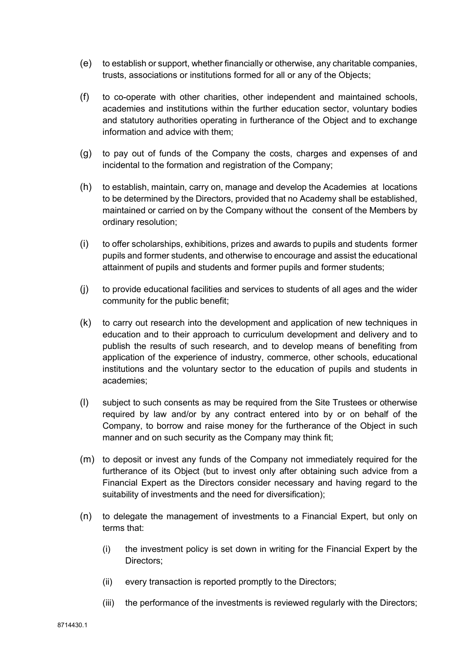- (e) to establish or support, whether financially or otherwise, any charitable companies, trusts, associations or institutions formed for all or any of the Objects;
- (f) to co-operate with other charities, other independent and maintained schools, academies and institutions within the further education sector, voluntary bodies and statutory authorities operating in furtherance of the Object and to exchange information and advice with them;
- (g) to pay out of funds of the Company the costs, charges and expenses of and incidental to the formation and registration of the Company:
- (h) to establish, maintain, carry on, manage and develop the Academies at locations to be determined by the Directors, provided that no Academy shall be established, maintained or carried on by the Company without the consent of the Members by ordinary resolution;
- (i) to offer scholarships, exhibitions, prizes and awards to pupils and students former pupils and former students, and otherwise to encourage and assist the educational attainment of pupils and students and former pupils and former students;
- (j) to provide educational facilities and services to students of all ages and the wider community for the public benefit;
- (k) to carry out research into the development and application of new techniques in education and to their approach to curriculum development and delivery and to publish the results of such research, and to develop means of benefiting from application of the experience of industry, commerce, other schools, educational institutions and the voluntary sector to the education of pupils and students in academies;
- (l) subject to such consents as may be required from the Site Trustees or otherwise required by law and/or by any contract entered into by or on behalf of the Company, to borrow and raise money for the furtherance of the Object in such manner and on such security as the Company may think fit;
- (m) to deposit or invest any funds of the Company not immediately required for the furtherance of its Object (but to invest only after obtaining such advice from a Financial Expert as the Directors consider necessary and having regard to the suitability of investments and the need for diversification);
- (n) to delegate the management of investments to a Financial Expert, but only on terms that:
	- (i) the investment policy is set down in writing for the Financial Expert by the Directors;
	- (ii) every transaction is reported promptly to the Directors;
	- (iii) the performance of the investments is reviewed regularly with the Directors;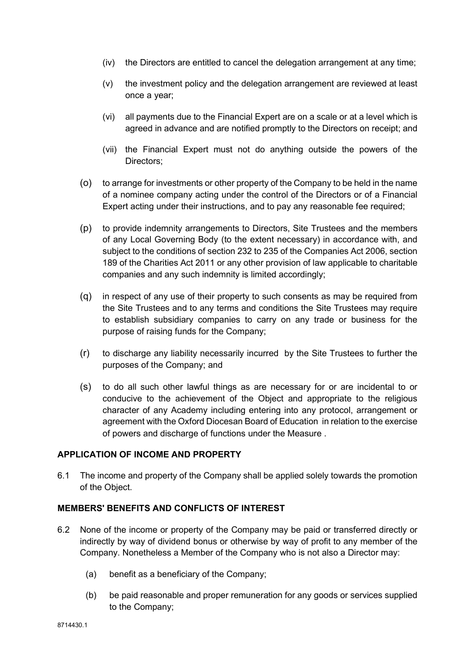- (iv) the Directors are entitled to cancel the delegation arrangement at any time;
- (v) the investment policy and the delegation arrangement are reviewed at least once a year;
- (vi) all payments due to the Financial Expert are on a scale or at a level which is agreed in advance and are notified promptly to the Directors on receipt; and
- (vii) the Financial Expert must not do anything outside the powers of the Directors;
- (o) to arrange for investments or other property of the Company to be held in the name of a nominee company acting under the control of the Directors or of a Financial Expert acting under their instructions, and to pay any reasonable fee required;
- (p) to provide indemnity arrangements to Directors, Site Trustees and the members of any Local Governing Body (to the extent necessary) in accordance with, and subject to the conditions of section 232 to 235 of the Companies Act 2006, section 189 of the Charities Act 2011 or any other provision of law applicable to charitable companies and any such indemnity is limited accordingly;
- (q) in respect of any use of their property to such consents as may be required from the Site Trustees and to any terms and conditions the Site Trustees may require to establish subsidiary companies to carry on any trade or business for the purpose of raising funds for the Company;
- (r) to discharge any liability necessarily incurred by the Site Trustees to further the purposes of the Company; and
- (s) to do all such other lawful things as are necessary for or are incidental to or conducive to the achievement of the Object and appropriate to the religious character of any Academy including entering into any protocol, arrangement or agreement with the Oxford Diocesan Board of Education in relation to the exercise of powers and discharge of functions under the Measure .

## APPLICATION OF INCOME AND PROPERTY

6.1 The income and property of the Company shall be applied solely towards the promotion of the Object.

## MEMBERS' BENEFITS AND CONFLICTS OF INTEREST

- 6.2 None of the income or property of the Company may be paid or transferred directly or indirectly by way of dividend bonus or otherwise by way of profit to any member of the Company. Nonetheless a Member of the Company who is not also a Director may:
	- (a) benefit as a beneficiary of the Company;
	- (b) be paid reasonable and proper remuneration for any goods or services supplied to the Company;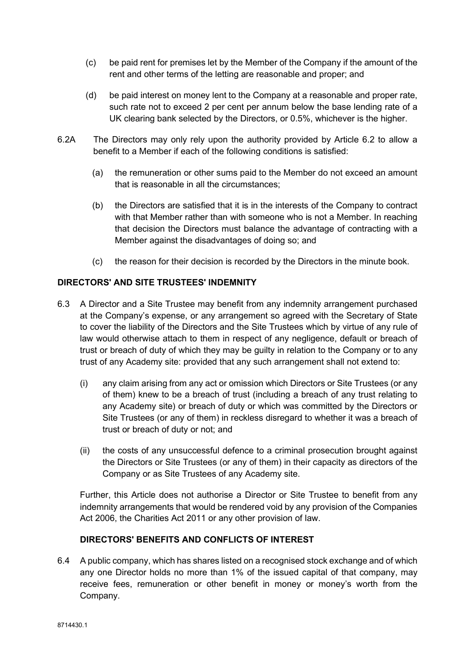- (c) be paid rent for premises let by the Member of the Company if the amount of the rent and other terms of the letting are reasonable and proper; and
- (d) be paid interest on money lent to the Company at a reasonable and proper rate, such rate not to exceed 2 per cent per annum below the base lending rate of a UK clearing bank selected by the Directors, or 0.5%, whichever is the higher.
- 6.2A The Directors may only rely upon the authority provided by Article 6.2 to allow a benefit to a Member if each of the following conditions is satisfied:
	- (a) the remuneration or other sums paid to the Member do not exceed an amount that is reasonable in all the circumstances;
	- (b) the Directors are satisfied that it is in the interests of the Company to contract with that Member rather than with someone who is not a Member. In reaching that decision the Directors must balance the advantage of contracting with a Member against the disadvantages of doing so; and
	- (c) the reason for their decision is recorded by the Directors in the minute book.

# DIRECTORS' AND SITE TRUSTEES' INDEMNITY

- 6.3 A Director and a Site Trustee may benefit from any indemnity arrangement purchased at the Company's expense, or any arrangement so agreed with the Secretary of State to cover the liability of the Directors and the Site Trustees which by virtue of any rule of law would otherwise attach to them in respect of any negligence, default or breach of trust or breach of duty of which they may be guilty in relation to the Company or to any trust of any Academy site: provided that any such arrangement shall not extend to:
	- (i) any claim arising from any act or omission which Directors or Site Trustees (or any of them) knew to be a breach of trust (including a breach of any trust relating to any Academy site) or breach of duty or which was committed by the Directors or Site Trustees (or any of them) in reckless disregard to whether it was a breach of trust or breach of duty or not; and
	- (ii) the costs of any unsuccessful defence to a criminal prosecution brought against the Directors or Site Trustees (or any of them) in their capacity as directors of the Company or as Site Trustees of any Academy site.

Further, this Article does not authorise a Director or Site Trustee to benefit from any indemnity arrangements that would be rendered void by any provision of the Companies Act 2006, the Charities Act 2011 or any other provision of law.

# DIRECTORS' BENEFITS AND CONFLICTS OF INTEREST

6.4 A public company, which has shares listed on a recognised stock exchange and of which any one Director holds no more than 1% of the issued capital of that company, may receive fees, remuneration or other benefit in money or money's worth from the Company.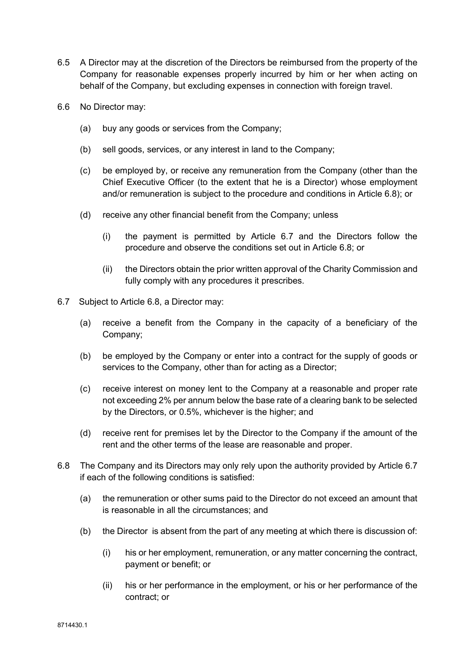- 6.5 A Director may at the discretion of the Directors be reimbursed from the property of the Company for reasonable expenses properly incurred by him or her when acting on behalf of the Company, but excluding expenses in connection with foreign travel.
- 6.6 No Director may:
	- (a) buy any goods or services from the Company;
	- (b) sell goods, services, or any interest in land to the Company;
	- (c) be employed by, or receive any remuneration from the Company (other than the Chief Executive Officer (to the extent that he is a Director) whose employment and/or remuneration is subject to the procedure and conditions in Article 6.8); or
	- (d) receive any other financial benefit from the Company; unless
		- (i) the payment is permitted by Article 6.7 and the Directors follow the procedure and observe the conditions set out in Article 6.8; or
		- (ii) the Directors obtain the prior written approval of the Charity Commission and fully comply with any procedures it prescribes.
- 6.7 Subject to Article 6.8, a Director may:
	- (a) receive a benefit from the Company in the capacity of a beneficiary of the Company;
	- (b) be employed by the Company or enter into a contract for the supply of goods or services to the Company, other than for acting as a Director;
	- (c) receive interest on money lent to the Company at a reasonable and proper rate not exceeding 2% per annum below the base rate of a clearing bank to be selected by the Directors, or 0.5%, whichever is the higher; and
	- (d) receive rent for premises let by the Director to the Company if the amount of the rent and the other terms of the lease are reasonable and proper.
- 6.8 The Company and its Directors may only rely upon the authority provided by Article 6.7 if each of the following conditions is satisfied:
	- (a) the remuneration or other sums paid to the Director do not exceed an amount that is reasonable in all the circumstances; and
	- (b) the Director is absent from the part of any meeting at which there is discussion of:
		- (i) his or her employment, remuneration, or any matter concerning the contract, payment or benefit; or
		- (ii) his or her performance in the employment, or his or her performance of the contract; or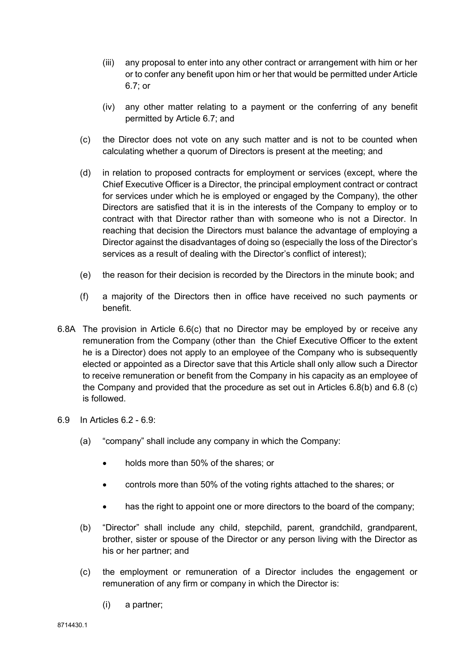- (iii) any proposal to enter into any other contract or arrangement with him or her or to confer any benefit upon him or her that would be permitted under Article 6.7; or
- (iv) any other matter relating to a payment or the conferring of any benefit permitted by Article 6.7; and
- (c) the Director does not vote on any such matter and is not to be counted when calculating whether a quorum of Directors is present at the meeting; and
- (d) in relation to proposed contracts for employment or services (except, where the Chief Executive Officer is a Director, the principal employment contract or contract for services under which he is employed or engaged by the Company), the other Directors are satisfied that it is in the interests of the Company to employ or to contract with that Director rather than with someone who is not a Director. In reaching that decision the Directors must balance the advantage of employing a Director against the disadvantages of doing so (especially the loss of the Director's services as a result of dealing with the Director's conflict of interest);
- (e) the reason for their decision is recorded by the Directors in the minute book; and
- (f) a majority of the Directors then in office have received no such payments or benefit.
- 6.8A The provision in Article 6.6(c) that no Director may be employed by or receive any remuneration from the Company (other than the Chief Executive Officer to the extent he is a Director) does not apply to an employee of the Company who is subsequently elected or appointed as a Director save that this Article shall only allow such a Director to receive remuneration or benefit from the Company in his capacity as an employee of the Company and provided that the procedure as set out in Articles 6.8(b) and 6.8 (c) is followed.
- 6.9 In Articles 6.2 6.9:
	- (a) "company" shall include any company in which the Company:
		- holds more than 50% of the shares; or
		- controls more than 50% of the voting rights attached to the shares; or
		- has the right to appoint one or more directors to the board of the company;
	- (b) "Director" shall include any child, stepchild, parent, grandchild, grandparent, brother, sister or spouse of the Director or any person living with the Director as his or her partner; and
	- (c) the employment or remuneration of a Director includes the engagement or remuneration of any firm or company in which the Director is:
		- (i) a partner;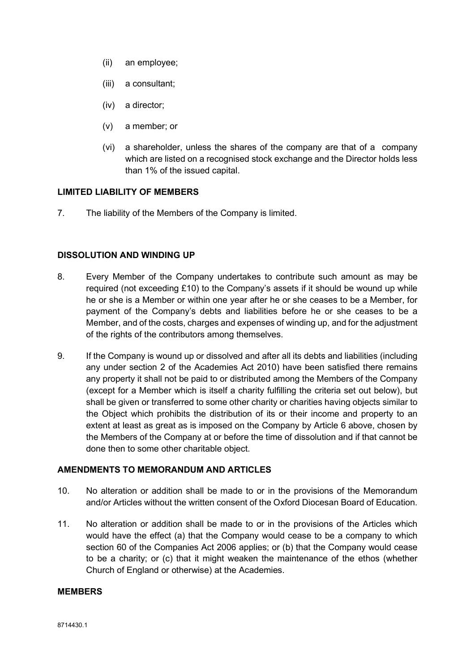- (ii) an employee;
- (iii) a consultant;
- (iv) a director;
- (v) a member; or
- (vi) a shareholder, unless the shares of the company are that of a company which are listed on a recognised stock exchange and the Director holds less than 1% of the issued capital.

#### LIMITED LIABILITY OF MEMBERS

7. The liability of the Members of the Company is limited.

#### DISSOLUTION AND WINDING UP

- 8. Every Member of the Company undertakes to contribute such amount as may be required (not exceeding £10) to the Company's assets if it should be wound up while he or she is a Member or within one year after he or she ceases to be a Member, for payment of the Company's debts and liabilities before he or she ceases to be a Member, and of the costs, charges and expenses of winding up, and for the adjustment of the rights of the contributors among themselves.
- 9. If the Company is wound up or dissolved and after all its debts and liabilities (including any under section 2 of the Academies Act 2010) have been satisfied there remains any property it shall not be paid to or distributed among the Members of the Company (except for a Member which is itself a charity fulfilling the criteria set out below), but shall be given or transferred to some other charity or charities having objects similar to the Object which prohibits the distribution of its or their income and property to an extent at least as great as is imposed on the Company by Article 6 above, chosen by the Members of the Company at or before the time of dissolution and if that cannot be done then to some other charitable object.

## AMENDMENTS TO MEMORANDUM AND ARTICLES

- 10. No alteration or addition shall be made to or in the provisions of the Memorandum and/or Articles without the written consent of the Oxford Diocesan Board of Education.
- 11. No alteration or addition shall be made to or in the provisions of the Articles which would have the effect (a) that the Company would cease to be a company to which section 60 of the Companies Act 2006 applies; or (b) that the Company would cease to be a charity; or (c) that it might weaken the maintenance of the ethos (whether Church of England or otherwise) at the Academies.

# MEMBERS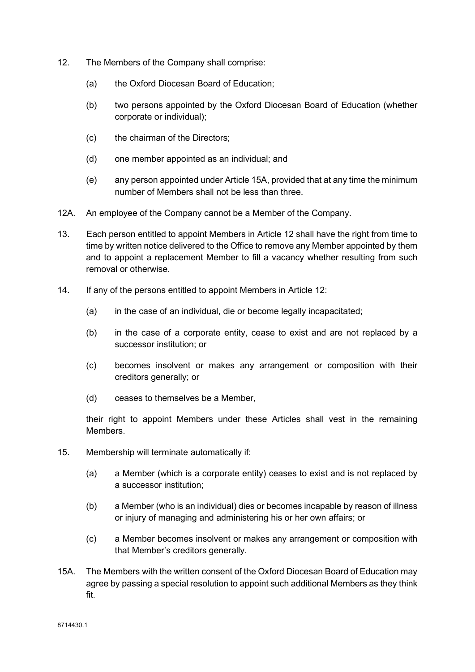- 12. The Members of the Company shall comprise:
	- (a) the Oxford Diocesan Board of Education;
	- (b) two persons appointed by the Oxford Diocesan Board of Education (whether corporate or individual);
	- (c) the chairman of the Directors;
	- (d) one member appointed as an individual; and
	- (e) any person appointed under Article 15A, provided that at any time the minimum number of Members shall not be less than three.
- 12A. An employee of the Company cannot be a Member of the Company.
- 13. Each person entitled to appoint Members in Article 12 shall have the right from time to time by written notice delivered to the Office to remove any Member appointed by them and to appoint a replacement Member to fill a vacancy whether resulting from such removal or otherwise.
- 14. If any of the persons entitled to appoint Members in Article 12:
	- (a) in the case of an individual, die or become legally incapacitated;
	- (b) in the case of a corporate entity, cease to exist and are not replaced by a successor institution; or
	- (c) becomes insolvent or makes any arrangement or composition with their creditors generally; or
	- (d) ceases to themselves be a Member,

their right to appoint Members under these Articles shall vest in the remaining **Members** 

- 15. Membership will terminate automatically if:
	- (a) a Member (which is a corporate entity) ceases to exist and is not replaced by a successor institution;
	- (b) a Member (who is an individual) dies or becomes incapable by reason of illness or injury of managing and administering his or her own affairs; or
	- (c) a Member becomes insolvent or makes any arrangement or composition with that Member's creditors generally.
- 15A. The Members with the written consent of the Oxford Diocesan Board of Education may agree by passing a special resolution to appoint such additional Members as they think fit.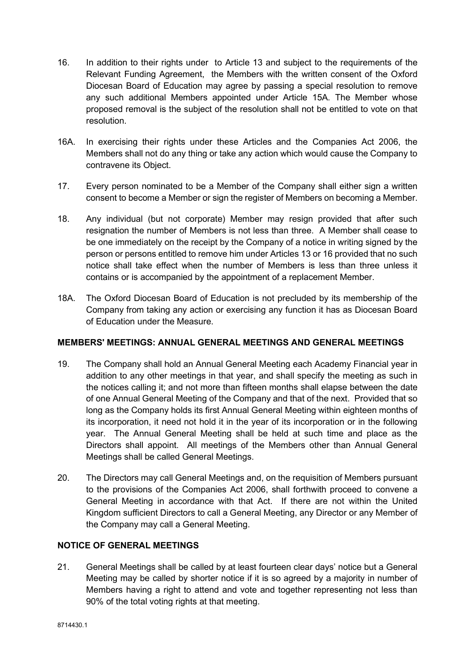- 16. In addition to their rights under to Article 13 and subject to the requirements of the Relevant Funding Agreement, the Members with the written consent of the Oxford Diocesan Board of Education may agree by passing a special resolution to remove any such additional Members appointed under Article 15A. The Member whose proposed removal is the subject of the resolution shall not be entitled to vote on that resolution.
- 16A. In exercising their rights under these Articles and the Companies Act 2006, the Members shall not do any thing or take any action which would cause the Company to contravene its Object.
- 17. Every person nominated to be a Member of the Company shall either sign a written consent to become a Member or sign the register of Members on becoming a Member.
- 18. Any individual (but not corporate) Member may resign provided that after such resignation the number of Members is not less than three. A Member shall cease to be one immediately on the receipt by the Company of a notice in writing signed by the person or persons entitled to remove him under Articles 13 or 16 provided that no such notice shall take effect when the number of Members is less than three unless it contains or is accompanied by the appointment of a replacement Member.
- 18A. The Oxford Diocesan Board of Education is not precluded by its membership of the Company from taking any action or exercising any function it has as Diocesan Board of Education under the Measure.

## MEMBERS' MEETINGS: ANNUAL GENERAL MEETINGS AND GENERAL MEETINGS

- 19. The Company shall hold an Annual General Meeting each Academy Financial year in addition to any other meetings in that year, and shall specify the meeting as such in the notices calling it; and not more than fifteen months shall elapse between the date of one Annual General Meeting of the Company and that of the next. Provided that so long as the Company holds its first Annual General Meeting within eighteen months of its incorporation, it need not hold it in the year of its incorporation or in the following year. The Annual General Meeting shall be held at such time and place as the Directors shall appoint. All meetings of the Members other than Annual General Meetings shall be called General Meetings.
- 20. The Directors may call General Meetings and, on the requisition of Members pursuant to the provisions of the Companies Act 2006, shall forthwith proceed to convene a General Meeting in accordance with that Act. If there are not within the United Kingdom sufficient Directors to call a General Meeting, any Director or any Member of the Company may call a General Meeting.

# NOTICE OF GENERAL MEETINGS

21. General Meetings shall be called by at least fourteen clear days' notice but a General Meeting may be called by shorter notice if it is so agreed by a majority in number of Members having a right to attend and vote and together representing not less than 90% of the total voting rights at that meeting.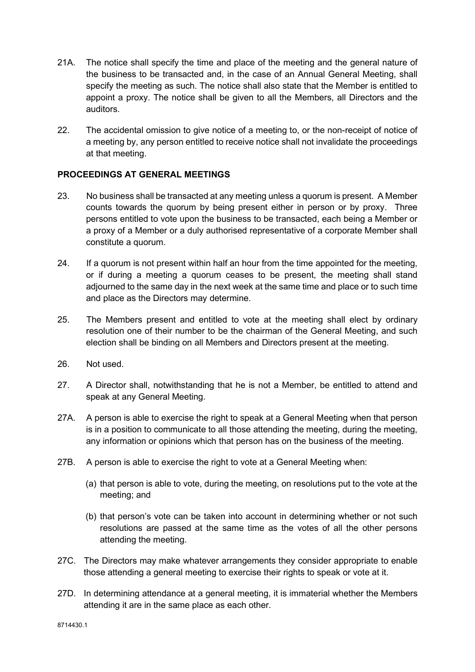- 21A. The notice shall specify the time and place of the meeting and the general nature of the business to be transacted and, in the case of an Annual General Meeting, shall specify the meeting as such. The notice shall also state that the Member is entitled to appoint a proxy. The notice shall be given to all the Members, all Directors and the auditors.
- 22. The accidental omission to give notice of a meeting to, or the non-receipt of notice of a meeting by, any person entitled to receive notice shall not invalidate the proceedings at that meeting.

# PROCEEDINGS AT GENERAL MEETINGS

- 23. No business shall be transacted at any meeting unless a quorum is present. A Member counts towards the quorum by being present either in person or by proxy. Three persons entitled to vote upon the business to be transacted, each being a Member or a proxy of a Member or a duly authorised representative of a corporate Member shall constitute a quorum.
- 24. If a quorum is not present within half an hour from the time appointed for the meeting, or if during a meeting a quorum ceases to be present, the meeting shall stand adjourned to the same day in the next week at the same time and place or to such time and place as the Directors may determine.
- 25. The Members present and entitled to vote at the meeting shall elect by ordinary resolution one of their number to be the chairman of the General Meeting, and such election shall be binding on all Members and Directors present at the meeting.
- 26. Not used.
- 27. A Director shall, notwithstanding that he is not a Member, be entitled to attend and speak at any General Meeting.
- 27A. A person is able to exercise the right to speak at a General Meeting when that person is in a position to communicate to all those attending the meeting, during the meeting, any information or opinions which that person has on the business of the meeting.
- 27B. A person is able to exercise the right to vote at a General Meeting when:
	- (a) that person is able to vote, during the meeting, on resolutions put to the vote at the meeting; and
	- (b) that person's vote can be taken into account in determining whether or not such resolutions are passed at the same time as the votes of all the other persons attending the meeting.
- 27C. The Directors may make whatever arrangements they consider appropriate to enable those attending a general meeting to exercise their rights to speak or vote at it.
- 27D. In determining attendance at a general meeting, it is immaterial whether the Members attending it are in the same place as each other.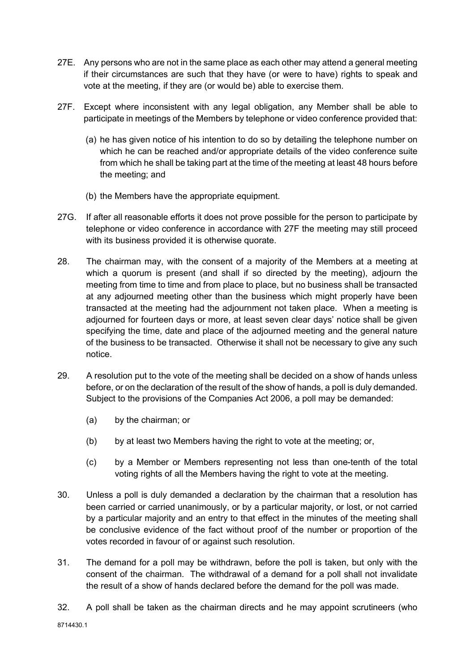- 27E. Any persons who are not in the same place as each other may attend a general meeting if their circumstances are such that they have (or were to have) rights to speak and vote at the meeting, if they are (or would be) able to exercise them.
- 27F. Except where inconsistent with any legal obligation, any Member shall be able to participate in meetings of the Members by telephone or video conference provided that:
	- (a) he has given notice of his intention to do so by detailing the telephone number on which he can be reached and/or appropriate details of the video conference suite from which he shall be taking part at the time of the meeting at least 48 hours before the meeting; and
	- (b) the Members have the appropriate equipment.
- 27G. If after all reasonable efforts it does not prove possible for the person to participate by telephone or video conference in accordance with 27F the meeting may still proceed with its business provided it is otherwise quorate.
- 28. The chairman may, with the consent of a majority of the Members at a meeting at which a quorum is present (and shall if so directed by the meeting), adjourn the meeting from time to time and from place to place, but no business shall be transacted at any adjourned meeting other than the business which might properly have been transacted at the meeting had the adjournment not taken place. When a meeting is adjourned for fourteen days or more, at least seven clear days' notice shall be given specifying the time, date and place of the adjourned meeting and the general nature of the business to be transacted. Otherwise it shall not be necessary to give any such notice.
- 29. A resolution put to the vote of the meeting shall be decided on a show of hands unless before, or on the declaration of the result of the show of hands, a poll is duly demanded. Subject to the provisions of the Companies Act 2006, a poll may be demanded:
	- (a) by the chairman; or
	- (b) by at least two Members having the right to vote at the meeting; or,
	- (c) by a Member or Members representing not less than one-tenth of the total voting rights of all the Members having the right to vote at the meeting.
- 30. Unless a poll is duly demanded a declaration by the chairman that a resolution has been carried or carried unanimously, or by a particular majority, or lost, or not carried by a particular majority and an entry to that effect in the minutes of the meeting shall be conclusive evidence of the fact without proof of the number or proportion of the votes recorded in favour of or against such resolution.
- 31. The demand for a poll may be withdrawn, before the poll is taken, but only with the consent of the chairman. The withdrawal of a demand for a poll shall not invalidate the result of a show of hands declared before the demand for the poll was made.
- 32. A poll shall be taken as the chairman directs and he may appoint scrutineers (who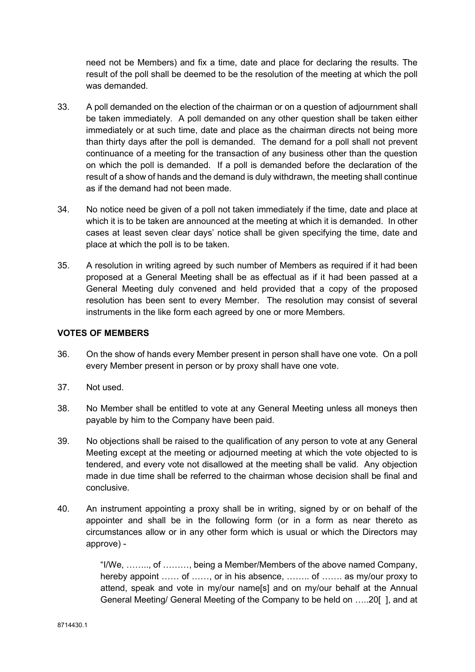need not be Members) and fix a time, date and place for declaring the results. The result of the poll shall be deemed to be the resolution of the meeting at which the poll was demanded.

- 33. A poll demanded on the election of the chairman or on a question of adjournment shall be taken immediately. A poll demanded on any other question shall be taken either immediately or at such time, date and place as the chairman directs not being more than thirty days after the poll is demanded. The demand for a poll shall not prevent continuance of a meeting for the transaction of any business other than the question on which the poll is demanded. If a poll is demanded before the declaration of the result of a show of hands and the demand is duly withdrawn, the meeting shall continue as if the demand had not been made.
- 34. No notice need be given of a poll not taken immediately if the time, date and place at which it is to be taken are announced at the meeting at which it is demanded. In other cases at least seven clear days' notice shall be given specifying the time, date and place at which the poll is to be taken.
- 35. A resolution in writing agreed by such number of Members as required if it had been proposed at a General Meeting shall be as effectual as if it had been passed at a General Meeting duly convened and held provided that a copy of the proposed resolution has been sent to every Member. The resolution may consist of several instruments in the like form each agreed by one or more Members.

#### VOTES OF MEMBERS

- 36. On the show of hands every Member present in person shall have one vote. On a poll every Member present in person or by proxy shall have one vote.
- 37. Not used.
- 38. No Member shall be entitled to vote at any General Meeting unless all moneys then payable by him to the Company have been paid.
- 39. No objections shall be raised to the qualification of any person to vote at any General Meeting except at the meeting or adjourned meeting at which the vote objected to is tendered, and every vote not disallowed at the meeting shall be valid. Any objection made in due time shall be referred to the chairman whose decision shall be final and conclusive.
- 40. An instrument appointing a proxy shall be in writing, signed by or on behalf of the appointer and shall be in the following form (or in a form as near thereto as circumstances allow or in any other form which is usual or which the Directors may approve) -

"I/We, …….., of ………, being a Member/Members of the above named Company, hereby appoint …… of ……, or in his absence, ……. of …… as my/our proxy to attend, speak and vote in my/our name[s] and on my/our behalf at the Annual General Meeting/ General Meeting of the Company to be held on …..20[ ], and at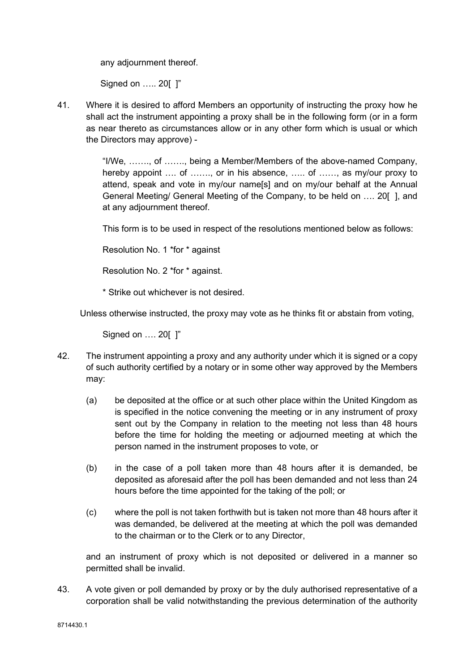any adjournment thereof.

Signed on ….. 20[ ]"

41. Where it is desired to afford Members an opportunity of instructing the proxy how he shall act the instrument appointing a proxy shall be in the following form (or in a form as near thereto as circumstances allow or in any other form which is usual or which the Directors may approve) -

> "I/We, ……., of ……., being a Member/Members of the above-named Company, hereby appoint .... of ......., or in his absence, ..... of ......, as my/our proxy to attend, speak and vote in my/our name[s] and on my/our behalf at the Annual General Meeting/ General Meeting of the Company, to be held on …. 20[ ], and at any adjournment thereof.

This form is to be used in respect of the resolutions mentioned below as follows:

Resolution No. 1 \*for \* against

Resolution No. 2 \*for \* against.

\* Strike out whichever is not desired.

Unless otherwise instructed, the proxy may vote as he thinks fit or abstain from voting,

Signed on …. 20[ ]"

- 42. The instrument appointing a proxy and any authority under which it is signed or a copy of such authority certified by a notary or in some other way approved by the Members may:
	- (a) be deposited at the office or at such other place within the United Kingdom as is specified in the notice convening the meeting or in any instrument of proxy sent out by the Company in relation to the meeting not less than 48 hours before the time for holding the meeting or adjourned meeting at which the person named in the instrument proposes to vote, or
	- (b) in the case of a poll taken more than 48 hours after it is demanded, be deposited as aforesaid after the poll has been demanded and not less than 24 hours before the time appointed for the taking of the poll; or
	- (c) where the poll is not taken forthwith but is taken not more than 48 hours after it was demanded, be delivered at the meeting at which the poll was demanded to the chairman or to the Clerk or to any Director,

and an instrument of proxy which is not deposited or delivered in a manner so permitted shall be invalid.

43. A vote given or poll demanded by proxy or by the duly authorised representative of a corporation shall be valid notwithstanding the previous determination of the authority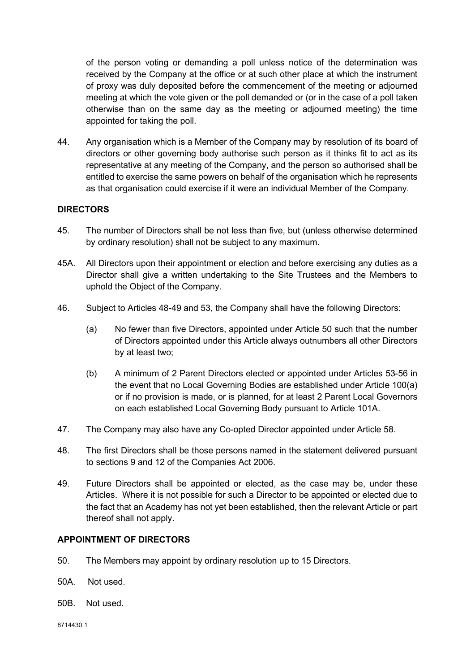of the person voting or demanding a poll unless notice of the determination was received by the Company at the office or at such other place at which the instrument of proxy was duly deposited before the commencement of the meeting or adjourned meeting at which the vote given or the poll demanded or (or in the case of a poll taken otherwise than on the same day as the meeting or adjourned meeting) the time appointed for taking the poll.

44. Any organisation which is a Member of the Company may by resolution of its board of directors or other governing body authorise such person as it thinks fit to act as its representative at any meeting of the Company, and the person so authorised shall be entitled to exercise the same powers on behalf of the organisation which he represents as that organisation could exercise if it were an individual Member of the Company.

## DIRECTORS

- 45. The number of Directors shall be not less than five, but (unless otherwise determined by ordinary resolution) shall not be subject to any maximum.
- 45A. All Directors upon their appointment or election and before exercising any duties as a Director shall give a written undertaking to the Site Trustees and the Members to uphold the Object of the Company.
- 46. Subject to Articles 48-49 and 53, the Company shall have the following Directors:
	- (a) No fewer than five Directors, appointed under Article 50 such that the number of Directors appointed under this Article always outnumbers all other Directors by at least two;
	- (b) A minimum of 2 Parent Directors elected or appointed under Articles 53-56 in the event that no Local Governing Bodies are established under Article 100(a) or if no provision is made, or is planned, for at least 2 Parent Local Governors on each established Local Governing Body pursuant to Article 101A.
- 47. The Company may also have any Co-opted Director appointed under Article 58.
- 48. The first Directors shall be those persons named in the statement delivered pursuant to sections 9 and 12 of the Companies Act 2006.
- 49. Future Directors shall be appointed or elected, as the case may be, under these Articles. Where it is not possible for such a Director to be appointed or elected due to the fact that an Academy has not yet been established, then the relevant Article or part thereof shall not apply.

#### APPOINTMENT OF DIRECTORS

- 50. The Members may appoint by ordinary resolution up to 15 Directors.
- 50A. Not used.
- 50B. Not used.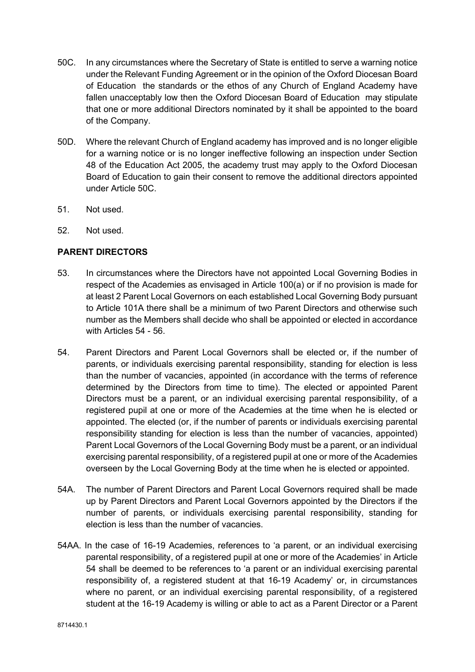- 50C. In any circumstances where the Secretary of State is entitled to serve a warning notice under the Relevant Funding Agreement or in the opinion of the Oxford Diocesan Board of Education the standards or the ethos of any Church of England Academy have fallen unacceptably low then the Oxford Diocesan Board of Education may stipulate that one or more additional Directors nominated by it shall be appointed to the board of the Company.
- 50D. Where the relevant Church of England academy has improved and is no longer eligible for a warning notice or is no longer ineffective following an inspection under Section 48 of the Education Act 2005, the academy trust may apply to the Oxford Diocesan Board of Education to gain their consent to remove the additional directors appointed under Article 50C.
- 51. Not used.
- 52. Not used.

#### PARENT DIRECTORS

- 53. In circumstances where the Directors have not appointed Local Governing Bodies in respect of the Academies as envisaged in Article 100(a) or if no provision is made for at least 2 Parent Local Governors on each established Local Governing Body pursuant to Article 101A there shall be a minimum of two Parent Directors and otherwise such number as the Members shall decide who shall be appointed or elected in accordance with Articles 54 - 56.
- 54. Parent Directors and Parent Local Governors shall be elected or, if the number of parents, or individuals exercising parental responsibility, standing for election is less than the number of vacancies, appointed (in accordance with the terms of reference determined by the Directors from time to time). The elected or appointed Parent Directors must be a parent, or an individual exercising parental responsibility, of a registered pupil at one or more of the Academies at the time when he is elected or appointed. The elected (or, if the number of parents or individuals exercising parental responsibility standing for election is less than the number of vacancies, appointed) Parent Local Governors of the Local Governing Body must be a parent, or an individual exercising parental responsibility, of a registered pupil at one or more of the Academies overseen by the Local Governing Body at the time when he is elected or appointed.
- 54A. The number of Parent Directors and Parent Local Governors required shall be made up by Parent Directors and Parent Local Governors appointed by the Directors if the number of parents, or individuals exercising parental responsibility, standing for election is less than the number of vacancies.
- 54AA. In the case of 16-19 Academies, references to 'a parent, or an individual exercising parental responsibility, of a registered pupil at one or more of the Academies' in Article 54 shall be deemed to be references to 'a parent or an individual exercising parental responsibility of, a registered student at that 16-19 Academy' or, in circumstances where no parent, or an individual exercising parental responsibility, of a registered student at the 16-19 Academy is willing or able to act as a Parent Director or a Parent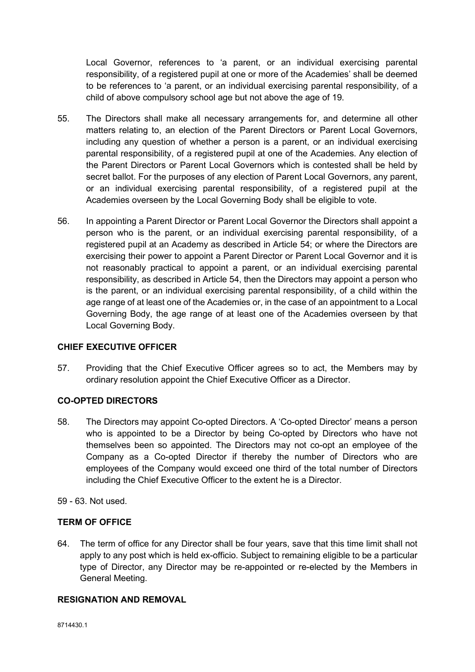Local Governor, references to 'a parent, or an individual exercising parental responsibility, of a registered pupil at one or more of the Academies' shall be deemed to be references to 'a parent, or an individual exercising parental responsibility, of a child of above compulsory school age but not above the age of 19.

- 55. The Directors shall make all necessary arrangements for, and determine all other matters relating to, an election of the Parent Directors or Parent Local Governors, including any question of whether a person is a parent, or an individual exercising parental responsibility, of a registered pupil at one of the Academies. Any election of the Parent Directors or Parent Local Governors which is contested shall be held by secret ballot. For the purposes of any election of Parent Local Governors, any parent, or an individual exercising parental responsibility, of a registered pupil at the Academies overseen by the Local Governing Body shall be eligible to vote.
- 56. In appointing a Parent Director or Parent Local Governor the Directors shall appoint a person who is the parent, or an individual exercising parental responsibility, of a registered pupil at an Academy as described in Article 54; or where the Directors are exercising their power to appoint a Parent Director or Parent Local Governor and it is not reasonably practical to appoint a parent, or an individual exercising parental responsibility, as described in Article 54, then the Directors may appoint a person who is the parent, or an individual exercising parental responsibility, of a child within the age range of at least one of the Academies or, in the case of an appointment to a Local Governing Body, the age range of at least one of the Academies overseen by that Local Governing Body.

## CHIEF EXECUTIVE OFFICER

57. Providing that the Chief Executive Officer agrees so to act, the Members may by ordinary resolution appoint the Chief Executive Officer as a Director.

## CO-OPTED DIRECTORS

- 58. The Directors may appoint Co-opted Directors. A 'Co-opted Director' means a person who is appointed to be a Director by being Co-opted by Directors who have not themselves been so appointed. The Directors may not co-opt an employee of the Company as a Co-opted Director if thereby the number of Directors who are employees of the Company would exceed one third of the total number of Directors including the Chief Executive Officer to the extent he is a Director.
- 59 63. Not used.

## TERM OF OFFICE

64. The term of office for any Director shall be four years, save that this time limit shall not apply to any post which is held ex-officio. Subject to remaining eligible to be a particular type of Director, any Director may be re-appointed or re-elected by the Members in General Meeting.

# RESIGNATION AND REMOVAL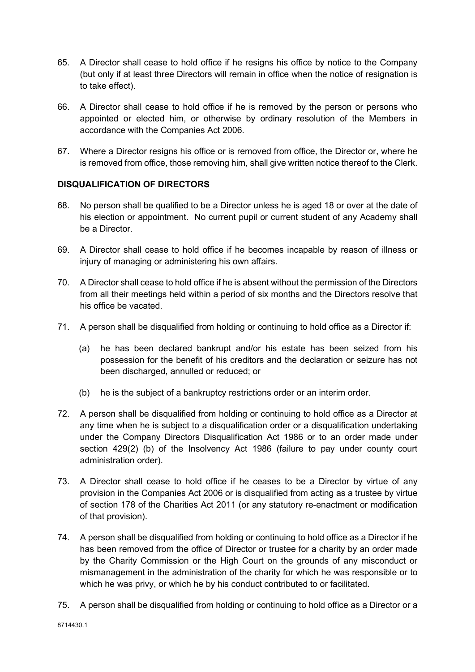- 65. A Director shall cease to hold office if he resigns his office by notice to the Company (but only if at least three Directors will remain in office when the notice of resignation is to take effect).
- 66. A Director shall cease to hold office if he is removed by the person or persons who appointed or elected him, or otherwise by ordinary resolution of the Members in accordance with the Companies Act 2006.
- 67. Where a Director resigns his office or is removed from office, the Director or, where he is removed from office, those removing him, shall give written notice thereof to the Clerk.

# DISQUALIFICATION OF DIRECTORS

- 68. No person shall be qualified to be a Director unless he is aged 18 or over at the date of his election or appointment. No current pupil or current student of any Academy shall be a Director.
- 69. A Director shall cease to hold office if he becomes incapable by reason of illness or injury of managing or administering his own affairs.
- 70. A Director shall cease to hold office if he is absent without the permission of the Directors from all their meetings held within a period of six months and the Directors resolve that his office be vacated.
- 71. A person shall be disqualified from holding or continuing to hold office as a Director if:
	- (a) he has been declared bankrupt and/or his estate has been seized from his possession for the benefit of his creditors and the declaration or seizure has not been discharged, annulled or reduced; or
	- (b) he is the subject of a bankruptcy restrictions order or an interim order.
- 72. A person shall be disqualified from holding or continuing to hold office as a Director at any time when he is subject to a disqualification order or a disqualification undertaking under the Company Directors Disqualification Act 1986 or to an order made under section 429(2) (b) of the Insolvency Act 1986 (failure to pay under county court administration order).
- 73. A Director shall cease to hold office if he ceases to be a Director by virtue of any provision in the Companies Act 2006 or is disqualified from acting as a trustee by virtue of section 178 of the Charities Act 2011 (or any statutory re-enactment or modification of that provision).
- 74. A person shall be disqualified from holding or continuing to hold office as a Director if he has been removed from the office of Director or trustee for a charity by an order made by the Charity Commission or the High Court on the grounds of any misconduct or mismanagement in the administration of the charity for which he was responsible or to which he was privy, or which he by his conduct contributed to or facilitated.
- 75. A person shall be disqualified from holding or continuing to hold office as a Director or a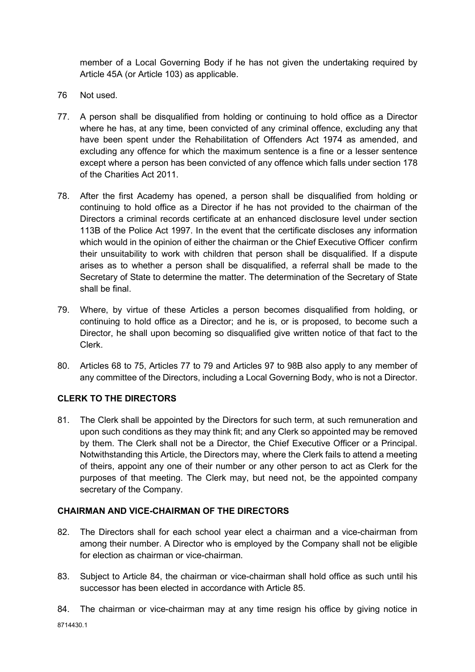member of a Local Governing Body if he has not given the undertaking required by Article 45A (or Article 103) as applicable.

- 76 Not used.
- 77. A person shall be disqualified from holding or continuing to hold office as a Director where he has, at any time, been convicted of any criminal offence, excluding any that have been spent under the Rehabilitation of Offenders Act 1974 as amended, and excluding any offence for which the maximum sentence is a fine or a lesser sentence except where a person has been convicted of any offence which falls under section 178 of the Charities Act 2011.
- 78. After the first Academy has opened, a person shall be disqualified from holding or continuing to hold office as a Director if he has not provided to the chairman of the Directors a criminal records certificate at an enhanced disclosure level under section 113B of the Police Act 1997. In the event that the certificate discloses any information which would in the opinion of either the chairman or the Chief Executive Officer confirm their unsuitability to work with children that person shall be disqualified. If a dispute arises as to whether a person shall be disqualified, a referral shall be made to the Secretary of State to determine the matter. The determination of the Secretary of State shall be final.
- 79. Where, by virtue of these Articles a person becomes disqualified from holding, or continuing to hold office as a Director; and he is, or is proposed, to become such a Director, he shall upon becoming so disqualified give written notice of that fact to the Clerk.
- 80. Articles 68 to 75, Articles 77 to 79 and Articles 97 to 98B also apply to any member of any committee of the Directors, including a Local Governing Body, who is not a Director.

# CLERK TO THE DIRECTORS

81. The Clerk shall be appointed by the Directors for such term, at such remuneration and upon such conditions as they may think fit; and any Clerk so appointed may be removed by them. The Clerk shall not be a Director, the Chief Executive Officer or a Principal. Notwithstanding this Article, the Directors may, where the Clerk fails to attend a meeting of theirs, appoint any one of their number or any other person to act as Clerk for the purposes of that meeting. The Clerk may, but need not, be the appointed company secretary of the Company.

# CHAIRMAN AND VICE-CHAIRMAN OF THE DIRECTORS

- 82. The Directors shall for each school year elect a chairman and a vice-chairman from among their number. A Director who is employed by the Company shall not be eligible for election as chairman or vice-chairman.
- 83. Subject to Article 84, the chairman or vice-chairman shall hold office as such until his successor has been elected in accordance with Article 85.
- 84. The chairman or vice-chairman may at any time resign his office by giving notice in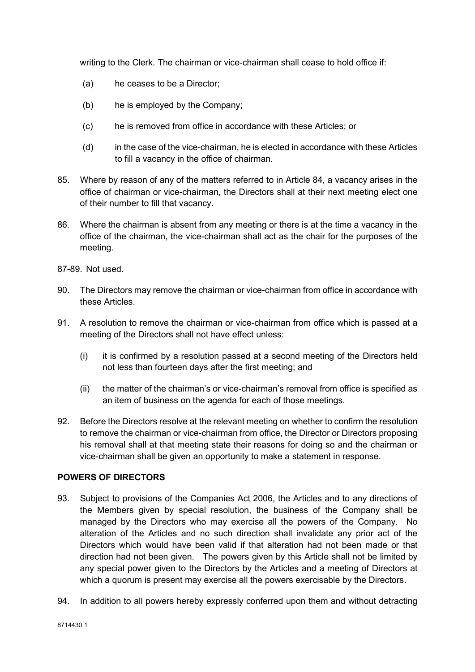writing to the Clerk. The chairman or vice-chairman shall cease to hold office if:

- (a) he ceases to be a Director;
- (b) he is employed by the Company;
- (c) he is removed from office in accordance with these Articles; or
- (d) in the case of the vice-chairman, he is elected in accordance with these Articles to fill a vacancy in the office of chairman.
- 85. Where by reason of any of the matters referred to in Article 84, a vacancy arises in the office of chairman or vice-chairman, the Directors shall at their next meeting elect one of their number to fill that vacancy.
- 86. Where the chairman is absent from any meeting or there is at the time a vacancy in the office of the chairman, the vice-chairman shall act as the chair for the purposes of the meeting.
- 87-89. Not used.
- 90. The Directors may remove the chairman or vice-chairman from office in accordance with these Articles.
- 91. A resolution to remove the chairman or vice-chairman from office which is passed at a meeting of the Directors shall not have effect unless:
	- (i) it is confirmed by a resolution passed at a second meeting of the Directors held not less than fourteen days after the first meeting; and
	- (ii) the matter of the chairman's or vice-chairman's removal from office is specified as an item of business on the agenda for each of those meetings.
- 92. Before the Directors resolve at the relevant meeting on whether to confirm the resolution to remove the chairman or vice-chairman from office, the Director or Directors proposing his removal shall at that meeting state their reasons for doing so and the chairman or vice-chairman shall be given an opportunity to make a statement in response.

#### POWERS OF DIRECTORS

- 93. Subject to provisions of the Companies Act 2006, the Articles and to any directions of the Members given by special resolution, the business of the Company shall be managed by the Directors who may exercise all the powers of the Company. No alteration of the Articles and no such direction shall invalidate any prior act of the Directors which would have been valid if that alteration had not been made or that direction had not been given. The powers given by this Article shall not be limited by any special power given to the Directors by the Articles and a meeting of Directors at which a quorum is present may exercise all the powers exercisable by the Directors.
- 94. In addition to all powers hereby expressly conferred upon them and without detracting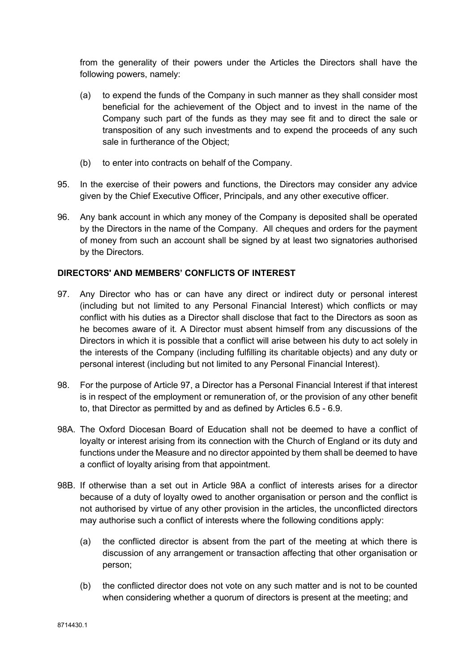from the generality of their powers under the Articles the Directors shall have the following powers, namely:

- (a) to expend the funds of the Company in such manner as they shall consider most beneficial for the achievement of the Object and to invest in the name of the Company such part of the funds as they may see fit and to direct the sale or transposition of any such investments and to expend the proceeds of any such sale in furtherance of the Object;
- (b) to enter into contracts on behalf of the Company.
- 95. In the exercise of their powers and functions, the Directors may consider any advice given by the Chief Executive Officer, Principals, and any other executive officer.
- 96. Any bank account in which any money of the Company is deposited shall be operated by the Directors in the name of the Company. All cheques and orders for the payment of money from such an account shall be signed by at least two signatories authorised by the Directors.

#### DIRECTORS' AND MEMBERS' CONFLICTS OF INTEREST

- 97. Any Director who has or can have any direct or indirect duty or personal interest (including but not limited to any Personal Financial Interest) which conflicts or may conflict with his duties as a Director shall disclose that fact to the Directors as soon as he becomes aware of it. A Director must absent himself from any discussions of the Directors in which it is possible that a conflict will arise between his duty to act solely in the interests of the Company (including fulfilling its charitable objects) and any duty or personal interest (including but not limited to any Personal Financial Interest).
- 98. For the purpose of Article 97, a Director has a Personal Financial Interest if that interest is in respect of the employment or remuneration of, or the provision of any other benefit to, that Director as permitted by and as defined by Articles 6.5 - 6.9.
- 98A. The Oxford Diocesan Board of Education shall not be deemed to have a conflict of loyalty or interest arising from its connection with the Church of England or its duty and functions under the Measure and no director appointed by them shall be deemed to have a conflict of loyalty arising from that appointment.
- 98B. If otherwise than a set out in Article 98A a conflict of interests arises for a director because of a duty of loyalty owed to another organisation or person and the conflict is not authorised by virtue of any other provision in the articles, the unconflicted directors may authorise such a conflict of interests where the following conditions apply:
	- (a) the conflicted director is absent from the part of the meeting at which there is discussion of any arrangement or transaction affecting that other organisation or person;
	- (b) the conflicted director does not vote on any such matter and is not to be counted when considering whether a quorum of directors is present at the meeting; and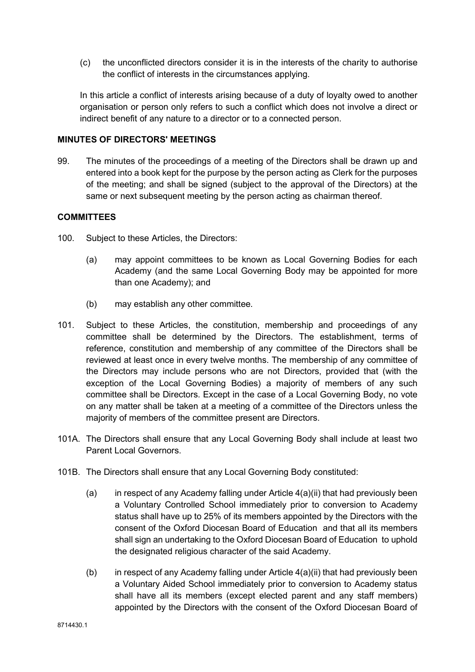(c) the unconflicted directors consider it is in the interests of the charity to authorise the conflict of interests in the circumstances applying.

In this article a conflict of interests arising because of a duty of loyalty owed to another organisation or person only refers to such a conflict which does not involve a direct or indirect benefit of any nature to a director or to a connected person.

#### MINUTES OF DIRECTORS' MEETINGS

99. The minutes of the proceedings of a meeting of the Directors shall be drawn up and entered into a book kept for the purpose by the person acting as Clerk for the purposes of the meeting; and shall be signed (subject to the approval of the Directors) at the same or next subsequent meeting by the person acting as chairman thereof.

# **COMMITTEES**

- 100. Subject to these Articles, the Directors:
	- (a) may appoint committees to be known as Local Governing Bodies for each Academy (and the same Local Governing Body may be appointed for more than one Academy); and
	- (b) may establish any other committee.
- 101. Subject to these Articles, the constitution, membership and proceedings of any committee shall be determined by the Directors. The establishment, terms of reference, constitution and membership of any committee of the Directors shall be reviewed at least once in every twelve months. The membership of any committee of the Directors may include persons who are not Directors, provided that (with the exception of the Local Governing Bodies) a majority of members of any such committee shall be Directors. Except in the case of a Local Governing Body, no vote on any matter shall be taken at a meeting of a committee of the Directors unless the majority of members of the committee present are Directors.
- 101A. The Directors shall ensure that any Local Governing Body shall include at least two Parent Local Governors.
- 101B. The Directors shall ensure that any Local Governing Body constituted:
	- (a) in respect of any Academy falling under Article  $4(a)(ii)$  that had previously been a Voluntary Controlled School immediately prior to conversion to Academy status shall have up to 25% of its members appointed by the Directors with the consent of the Oxford Diocesan Board of Education and that all its members shall sign an undertaking to the Oxford Diocesan Board of Education to uphold the designated religious character of the said Academy.
	- (b) in respect of any Academy falling under Article 4(a)(ii) that had previously been a Voluntary Aided School immediately prior to conversion to Academy status shall have all its members (except elected parent and any staff members) appointed by the Directors with the consent of the Oxford Diocesan Board of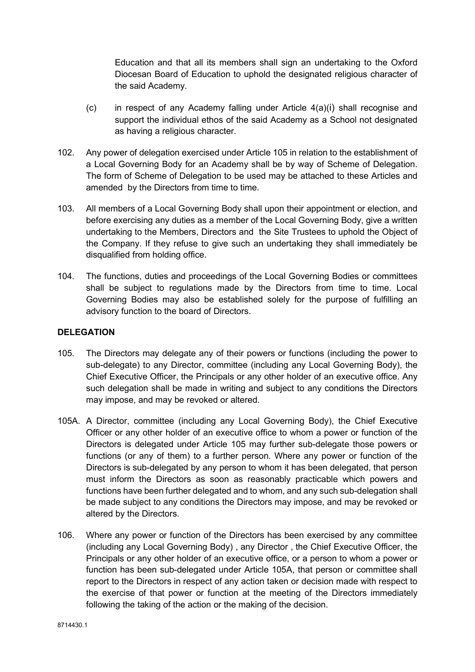Education and that all its members shall sign an undertaking to the Oxford Diocesan Board of Education to uphold the designated religious character of the said Academy.

- (c) in respect of any Academy falling under Article  $4(a)(i)$  shall recognise and support the individual ethos of the said Academy as a School not designated as having a religious character.
- 102. Any power of delegation exercised under Article 105 in relation to the establishment of a Local Governing Body for an Academy shall be by way of Scheme of Delegation. The form of Scheme of Delegation to be used may be attached to these Articles and amended by the Directors from time to time.
- 103. All members of a Local Governing Body shall upon their appointment or election, and before exercising any duties as a member of the Local Governing Body, give a written undertaking to the Members, Directors and the Site Trustees to uphold the Object of the Company. If they refuse to give such an undertaking they shall immediately be disqualified from holding office.
- 104. The functions, duties and proceedings of the Local Governing Bodies or committees shall be subject to regulations made by the Directors from time to time. Local Governing Bodies may also be established solely for the purpose of fulfilling an advisory function to the board of Directors.

# DELEGATION

- 105. The Directors may delegate any of their powers or functions (including the power to sub-delegate) to any Director, committee (including any Local Governing Body), the Chief Executive Officer, the Principals or any other holder of an executive office. Any such delegation shall be made in writing and subject to any conditions the Directors may impose, and may be revoked or altered.
- 105A. A Director, committee (including any Local Governing Body), the Chief Executive Officer or any other holder of an executive office to whom a power or function of the Directors is delegated under Article 105 may further sub-delegate those powers or functions (or any of them) to a further person. Where any power or function of the Directors is sub-delegated by any person to whom it has been delegated, that person must inform the Directors as soon as reasonably practicable which powers and functions have been further delegated and to whom, and any such sub-delegation shall be made subject to any conditions the Directors may impose, and may be revoked or altered by the Directors.
- 106. Where any power or function of the Directors has been exercised by any committee (including any Local Governing Body) , any Director , the Chief Executive Officer, the Principals or any other holder of an executive office, or a person to whom a power or function has been sub-delegated under Article 105A, that person or committee shall report to the Directors in respect of any action taken or decision made with respect to the exercise of that power or function at the meeting of the Directors immediately following the taking of the action or the making of the decision.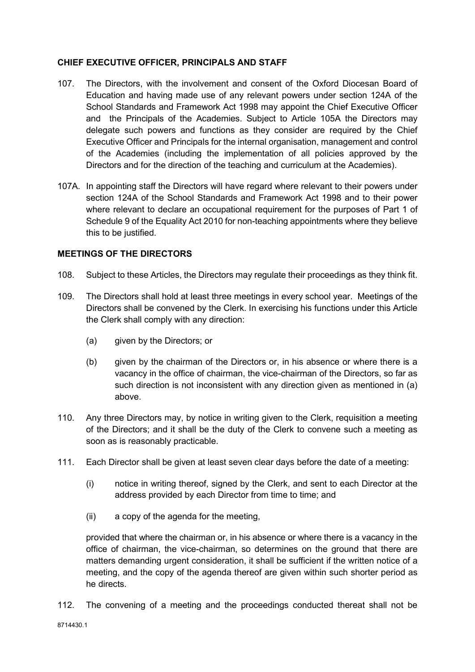## CHIEF EXECUTIVE OFFICER, PRINCIPALS AND STAFF

- 107. The Directors, with the involvement and consent of the Oxford Diocesan Board of Education and having made use of any relevant powers under section 124A of the School Standards and Framework Act 1998 may appoint the Chief Executive Officer and the Principals of the Academies. Subject to Article 105A the Directors may delegate such powers and functions as they consider are required by the Chief Executive Officer and Principals for the internal organisation, management and control of the Academies (including the implementation of all policies approved by the Directors and for the direction of the teaching and curriculum at the Academies).
- 107A. In appointing staff the Directors will have regard where relevant to their powers under section 124A of the School Standards and Framework Act 1998 and to their power where relevant to declare an occupational requirement for the purposes of Part 1 of Schedule 9 of the Equality Act 2010 for non-teaching appointments where they believe this to be justified.

#### MEETINGS OF THE DIRECTORS

- 108. Subject to these Articles, the Directors may regulate their proceedings as they think fit.
- 109. The Directors shall hold at least three meetings in every school year. Meetings of the Directors shall be convened by the Clerk. In exercising his functions under this Article the Clerk shall comply with any direction:
	- (a) given by the Directors; or
	- (b) given by the chairman of the Directors or, in his absence or where there is a vacancy in the office of chairman, the vice-chairman of the Directors, so far as such direction is not inconsistent with any direction given as mentioned in (a) above.
- 110. Any three Directors may, by notice in writing given to the Clerk, requisition a meeting of the Directors; and it shall be the duty of the Clerk to convene such a meeting as soon as is reasonably practicable.
- 111. Each Director shall be given at least seven clear days before the date of a meeting:
	- (i) notice in writing thereof, signed by the Clerk, and sent to each Director at the address provided by each Director from time to time; and
	- (ii) a copy of the agenda for the meeting,

provided that where the chairman or, in his absence or where there is a vacancy in the office of chairman, the vice-chairman, so determines on the ground that there are matters demanding urgent consideration, it shall be sufficient if the written notice of a meeting, and the copy of the agenda thereof are given within such shorter period as he directs.

112. The convening of a meeting and the proceedings conducted thereat shall not be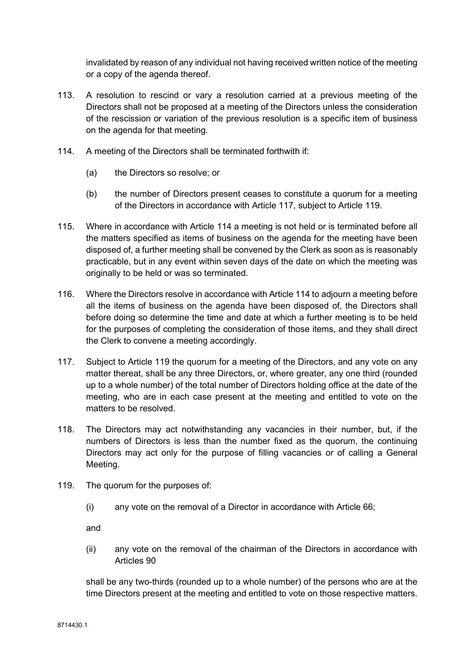invalidated by reason of any individual not having received written notice of the meeting or a copy of the agenda thereof.

- 113. A resolution to rescind or vary a resolution carried at a previous meeting of the Directors shall not be proposed at a meeting of the Directors unless the consideration of the rescission or variation of the previous resolution is a specific item of business on the agenda for that meeting.
- 114. A meeting of the Directors shall be terminated forthwith if:
	- (a) the Directors so resolve; or
	- (b) the number of Directors present ceases to constitute a quorum for a meeting of the Directors in accordance with Article 117, subject to Article 119.
- 115. Where in accordance with Article 114 a meeting is not held or is terminated before all the matters specified as items of business on the agenda for the meeting have been disposed of, a further meeting shall be convened by the Clerk as soon as is reasonably practicable, but in any event within seven days of the date on which the meeting was originally to be held or was so terminated.
- 116. Where the Directors resolve in accordance with Article 114 to adjourn a meeting before all the items of business on the agenda have been disposed of, the Directors shall before doing so determine the time and date at which a further meeting is to be held for the purposes of completing the consideration of those items, and they shall direct the Clerk to convene a meeting accordingly.
- 117. Subject to Article 119 the quorum for a meeting of the Directors, and any vote on any matter thereat, shall be any three Directors, or, where greater, any one third (rounded up to a whole number) of the total number of Directors holding office at the date of the meeting, who are in each case present at the meeting and entitled to vote on the matters to be resolved.
- 118. The Directors may act notwithstanding any vacancies in their number, but, if the numbers of Directors is less than the number fixed as the quorum, the continuing Directors may act only for the purpose of filling vacancies or of calling a General Meeting.
- 119. The quorum for the purposes of:
	- (i) any vote on the removal of a Director in accordance with Article 66;

and

(ii) any vote on the removal of the chairman of the Directors in accordance with Articles 90

shall be any two-thirds (rounded up to a whole number) of the persons who are at the time Directors present at the meeting and entitled to vote on those respective matters.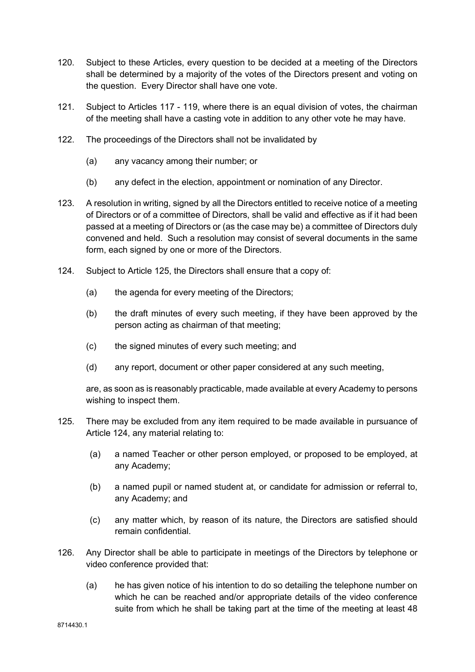- 120. Subject to these Articles, every question to be decided at a meeting of the Directors shall be determined by a majority of the votes of the Directors present and voting on the question. Every Director shall have one vote.
- 121. Subject to Articles 117 119, where there is an equal division of votes, the chairman of the meeting shall have a casting vote in addition to any other vote he may have.
- 122. The proceedings of the Directors shall not be invalidated by
	- (a) any vacancy among their number; or
	- (b) any defect in the election, appointment or nomination of any Director.
- 123. A resolution in writing, signed by all the Directors entitled to receive notice of a meeting of Directors or of a committee of Directors, shall be valid and effective as if it had been passed at a meeting of Directors or (as the case may be) a committee of Directors duly convened and held. Such a resolution may consist of several documents in the same form, each signed by one or more of the Directors.
- 124. Subject to Article 125, the Directors shall ensure that a copy of:
	- (a) the agenda for every meeting of the Directors;
	- (b) the draft minutes of every such meeting, if they have been approved by the person acting as chairman of that meeting;
	- (c) the signed minutes of every such meeting; and
	- (d) any report, document or other paper considered at any such meeting,

are, as soon as is reasonably practicable, made available at every Academy to persons wishing to inspect them.

- 125. There may be excluded from any item required to be made available in pursuance of Article 124, any material relating to:
	- (a) a named Teacher or other person employed, or proposed to be employed, at any Academy;
	- (b) a named pupil or named student at, or candidate for admission or referral to, any Academy; and
	- (c) any matter which, by reason of its nature, the Directors are satisfied should remain confidential.
- 126. Any Director shall be able to participate in meetings of the Directors by telephone or video conference provided that:
	- (a) he has given notice of his intention to do so detailing the telephone number on which he can be reached and/or appropriate details of the video conference suite from which he shall be taking part at the time of the meeting at least 48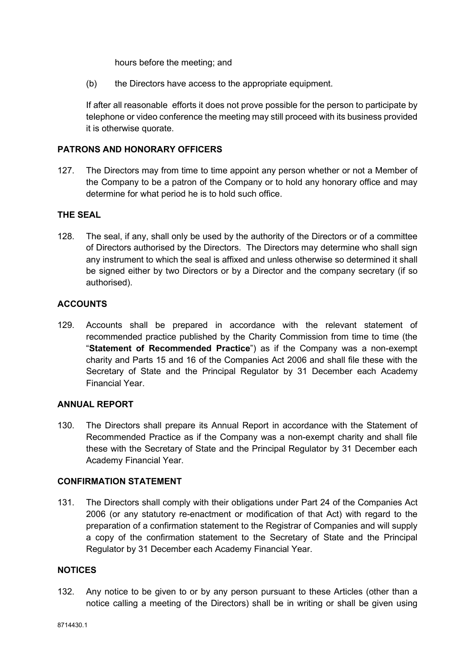hours before the meeting; and

(b) the Directors have access to the appropriate equipment.

If after all reasonable efforts it does not prove possible for the person to participate by telephone or video conference the meeting may still proceed with its business provided it is otherwise quorate.

## PATRONS AND HONORARY OFFICERS

127. The Directors may from time to time appoint any person whether or not a Member of the Company to be a patron of the Company or to hold any honorary office and may determine for what period he is to hold such office.

## THE SEAL

128. The seal, if any, shall only be used by the authority of the Directors or of a committee of Directors authorised by the Directors. The Directors may determine who shall sign any instrument to which the seal is affixed and unless otherwise so determined it shall be signed either by two Directors or by a Director and the company secretary (if so authorised).

## **ACCOUNTS**

129. Accounts shall be prepared in accordance with the relevant statement of recommended practice published by the Charity Commission from time to time (the "Statement of Recommended Practice") as if the Company was a non-exempt charity and Parts 15 and 16 of the Companies Act 2006 and shall file these with the Secretary of State and the Principal Regulator by 31 December each Academy Financial Year.

## ANNUAL REPORT

130. The Directors shall prepare its Annual Report in accordance with the Statement of Recommended Practice as if the Company was a non-exempt charity and shall file these with the Secretary of State and the Principal Regulator by 31 December each Academy Financial Year.

#### CONFIRMATION STATEMENT

131. The Directors shall comply with their obligations under Part 24 of the Companies Act 2006 (or any statutory re-enactment or modification of that Act) with regard to the preparation of a confirmation statement to the Registrar of Companies and will supply a copy of the confirmation statement to the Secretary of State and the Principal Regulator by 31 December each Academy Financial Year.

#### **NOTICES**

132. Any notice to be given to or by any person pursuant to these Articles (other than a notice calling a meeting of the Directors) shall be in writing or shall be given using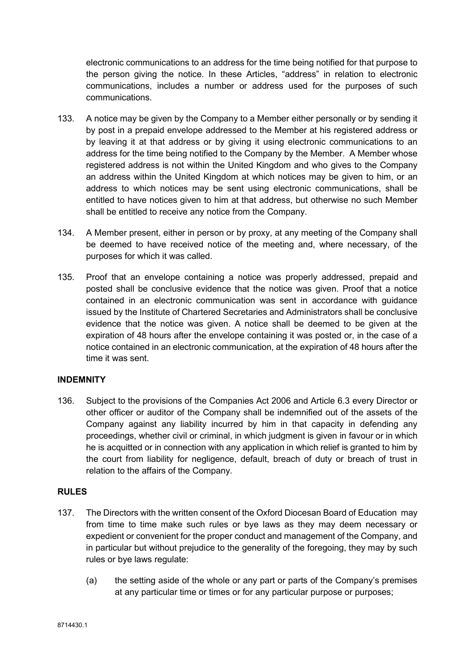electronic communications to an address for the time being notified for that purpose to the person giving the notice. In these Articles, "address" in relation to electronic communications, includes a number or address used for the purposes of such communications.

- 133. A notice may be given by the Company to a Member either personally or by sending it by post in a prepaid envelope addressed to the Member at his registered address or by leaving it at that address or by giving it using electronic communications to an address for the time being notified to the Company by the Member. A Member whose registered address is not within the United Kingdom and who gives to the Company an address within the United Kingdom at which notices may be given to him, or an address to which notices may be sent using electronic communications, shall be entitled to have notices given to him at that address, but otherwise no such Member shall be entitled to receive any notice from the Company.
- 134. A Member present, either in person or by proxy, at any meeting of the Company shall be deemed to have received notice of the meeting and, where necessary, of the purposes for which it was called.
- 135. Proof that an envelope containing a notice was properly addressed, prepaid and posted shall be conclusive evidence that the notice was given. Proof that a notice contained in an electronic communication was sent in accordance with guidance issued by the Institute of Chartered Secretaries and Administrators shall be conclusive evidence that the notice was given. A notice shall be deemed to be given at the expiration of 48 hours after the envelope containing it was posted or, in the case of a notice contained in an electronic communication, at the expiration of 48 hours after the time it was sent.

## INDEMNITY

136. Subject to the provisions of the Companies Act 2006 and Article 6.3 every Director or other officer or auditor of the Company shall be indemnified out of the assets of the Company against any liability incurred by him in that capacity in defending any proceedings, whether civil or criminal, in which judgment is given in favour or in which he is acquitted or in connection with any application in which relief is granted to him by the court from liability for negligence, default, breach of duty or breach of trust in relation to the affairs of the Company.

## RULES

- 137. The Directors with the written consent of the Oxford Diocesan Board of Education may from time to time make such rules or bye laws as they may deem necessary or expedient or convenient for the proper conduct and management of the Company, and in particular but without prejudice to the generality of the foregoing, they may by such rules or bye laws regulate:
	- (a) the setting aside of the whole or any part or parts of the Company's premises at any particular time or times or for any particular purpose or purposes;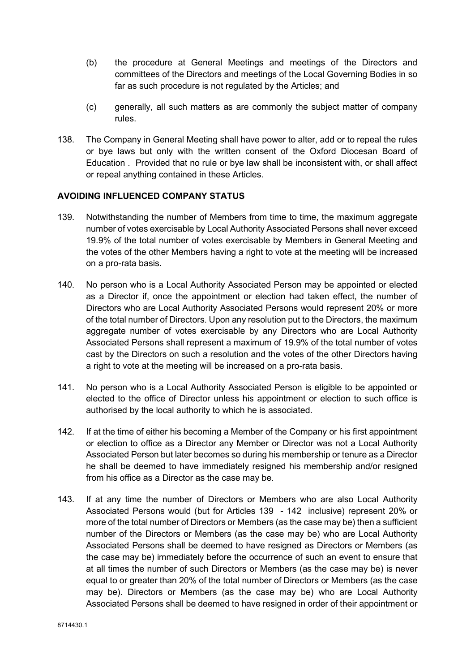- (b) the procedure at General Meetings and meetings of the Directors and committees of the Directors and meetings of the Local Governing Bodies in so far as such procedure is not regulated by the Articles; and
- (c) generally, all such matters as are commonly the subject matter of company rules.
- 138. The Company in General Meeting shall have power to alter, add or to repeal the rules or bye laws but only with the written consent of the Oxford Diocesan Board of Education . Provided that no rule or bye law shall be inconsistent with, or shall affect or repeal anything contained in these Articles.

## AVOIDING INFLUENCED COMPANY STATUS

- 139. Notwithstanding the number of Members from time to time, the maximum aggregate number of votes exercisable by Local Authority Associated Persons shall never exceed 19.9% of the total number of votes exercisable by Members in General Meeting and the votes of the other Members having a right to vote at the meeting will be increased on a pro-rata basis.
- 140. No person who is a Local Authority Associated Person may be appointed or elected as a Director if, once the appointment or election had taken effect, the number of Directors who are Local Authority Associated Persons would represent 20% or more of the total number of Directors. Upon any resolution put to the Directors, the maximum aggregate number of votes exercisable by any Directors who are Local Authority Associated Persons shall represent a maximum of 19.9% of the total number of votes cast by the Directors on such a resolution and the votes of the other Directors having a right to vote at the meeting will be increased on a pro-rata basis.
- 141. No person who is a Local Authority Associated Person is eligible to be appointed or elected to the office of Director unless his appointment or election to such office is authorised by the local authority to which he is associated.
- 142. If at the time of either his becoming a Member of the Company or his first appointment or election to office as a Director any Member or Director was not a Local Authority Associated Person but later becomes so during his membership or tenure as a Director he shall be deemed to have immediately resigned his membership and/or resigned from his office as a Director as the case may be.
- 143. If at any time the number of Directors or Members who are also Local Authority Associated Persons would (but for Articles 139 - 142 inclusive) represent 20% or more of the total number of Directors or Members (as the case may be) then a sufficient number of the Directors or Members (as the case may be) who are Local Authority Associated Persons shall be deemed to have resigned as Directors or Members (as the case may be) immediately before the occurrence of such an event to ensure that at all times the number of such Directors or Members (as the case may be) is never equal to or greater than 20% of the total number of Directors or Members (as the case may be). Directors or Members (as the case may be) who are Local Authority Associated Persons shall be deemed to have resigned in order of their appointment or